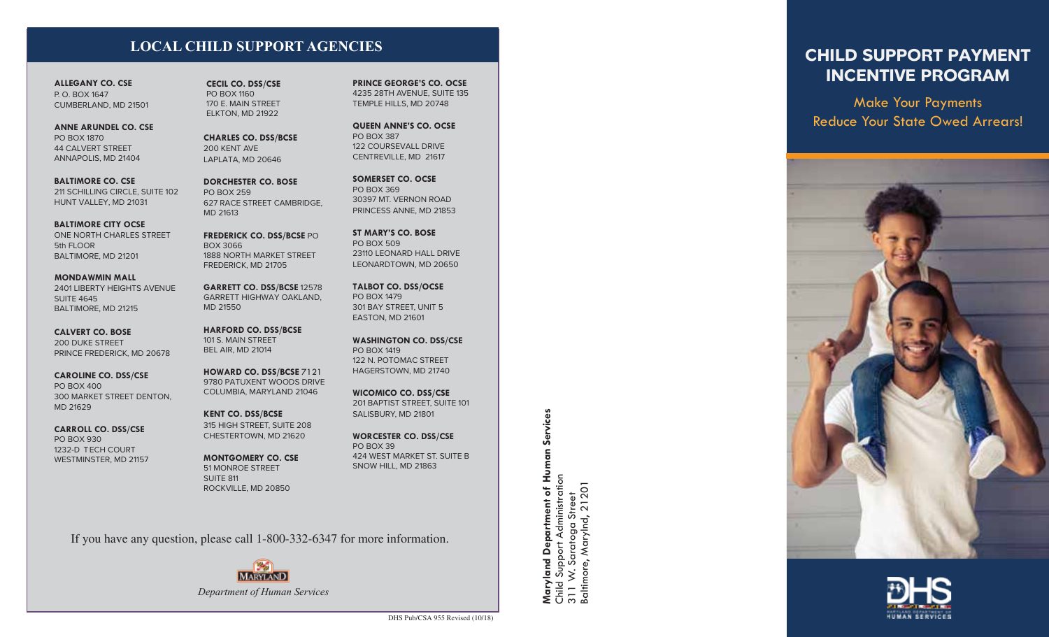### **LOCAL CHILD SUPPORT AGENCIES**

**ALLEGANY CO. CSE** P. O. BOX 1647 CUMBERLAND, MD 21501

**ANNE ARUNDEL CO. CSE** PO BOX 1870 44 CALVERT STREET ANNAPOLIS, MD 21404

**BALTIMORE CO. CSE** 211 SCHILLING CIRCLE, SUITE 102 HUNT VALLEY, MD 21031

**BALTIMORE CITY OCSE** ONE NORTH CHARLES STREET 5th FLOOR BALTIMORE, MD 21201

**MONDAWMIN MALL** 2401 LIBERTY HEIGHTS AVENUE SUITE 4645 BALTIMORE, MD 21215

**CALVERT CO. BOSE** 200 DUKE STREET PRINCE FREDERICK, MD 20678

**CAROLINE CO. DSS/CSE** PO BOX 400 300 MARKET STREET DENTON, MD 21629

**CARROLL CO. DSS/CSE** PO BOX 930 1232-D TECH COURT WESTMINSTER, MD 21157 **CECIL CO. DSS/CSE** PO BOX 1160 170 E. MAIN STREET ELKTON, MD 21922

**CHARLES CO. DSS/BCSE** 200 KENT AVE LAPLATA, MD 20646

**DORCHESTER CO. BOSE** PO BOX 259 627 RACE STREET CAMBRIDGE, MD 21613

**FREDERICK CO. DSS/BCSE** PO BOX 3066 1888 NORTH MARKET STREET FREDERICK, MD 21705

**GARRETT CO. DSS/BCSE** 12578 GARRETT HIGHWAY OAKLAND, MD 21550

**HARFORD CO. DSS/BCSE** 101 S. MAIN STREET BEL AIR, MD 21014

**HOWARD CO. DSS/BCSE** 7121 9780 PATUXENT WOODS DRIVE COLUMBIA, MARYLAND 21046

**KENT CO. DSS/BCSE** 315 HIGH STREET, SUITE 208 CHESTERTOWN, MD 21620

**MONTGOMERY CO. CSE** 51 MONROE STREET SUITE 811 ROCKVILLE, MD 20850

*Department of Human Services*

**MARYLAND** 

If you have any question, please call 1-800-332-6347 for more information.

**PRINCE GEORGE'S CO. OCSE** 4235 28TH AVENUE, SUITE 135 TEMPLE HILLS, MD 20748

**QUEEN ANNE'S CO. OCSE** PO BOX 387 122 COURSEVALL DRIVE CENTREVILLE, MD 21617

**SOMERSET CO. OCSE** PO BOX 369 30397 MT. VERNON ROAD PRINCESS ANNE, MD 21853

**ST MARY'S CO. BOSE** PO BOX 509 23110 LEONARD HALL DRIVE LEONARDTOWN, MD 20650

**TALBOT CO. DSS/OCSE** PO BOX 1479 301 BAY STREET, UNIT 5 EASTON, MD 21601

**WASHINGTON CO. DSS/CSE** PO BOX 1419 122 N. POTOMAC STREET HAGERSTOWN, MD 21740

**WICOMICO CO. DSS/CSE** 201 BAPTIST STREET, SUITE 101 SALISBURY, MD 21801

**WORCESTER CO. DSS/CSE** PO BOX 39 424 WEST MARKET ST. SUITE B SNOW HILL, MD 21863

**Human Services Maryland Department of Human Services** Child Support Administration<br>311 W. Saratoga Street<br>Baltimore, Marylnd, 21201 Child Support Administration Baltimore, Marylnd, 21201  $\overline{\bullet}$ 311 W. Saratoga Street **Department** land āΣ Ž.

**CHILD SUPPORT PAYMENT INCENTIVE PROGRAM**

**Make Your Payments**  Make Your Payments **Reduce Your State Owed Arrears!** Reduce Your State Owed Arrears!